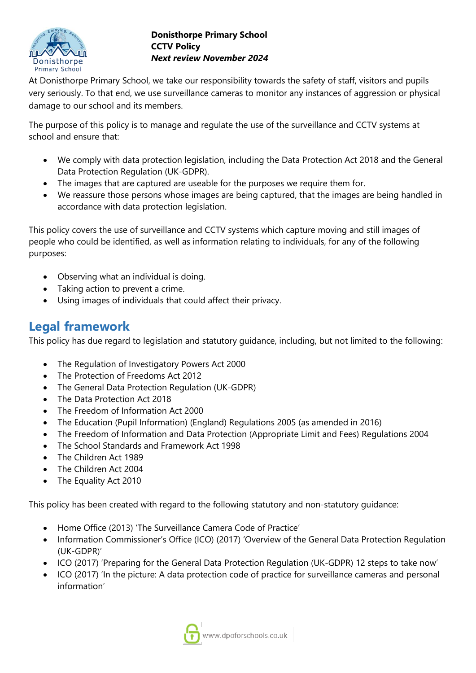

At Donisthorpe Primary School, we take our responsibility towards the safety of staff, visitors and pupils very seriously. To that end, we use surveillance cameras to monitor any instances of aggression or physical damage to our school and its members.

The purpose of this policy is to manage and regulate the use of the surveillance and CCTV systems at school and ensure that:

- We comply with data protection legislation, including the Data Protection Act 2018 and the General Data Protection Regulation (UK-GDPR).
- The images that are captured are useable for the purposes we require them for.
- We reassure those persons whose images are being captured, that the images are being handled in accordance with data protection legislation.

This policy covers the use of surveillance and CCTV systems which capture moving and still images of people who could be identified, as well as information relating to individuals, for any of the following purposes:

- Observing what an individual is doing.
- Taking action to prevent a crime.
- Using images of individuals that could affect their privacy.

# **Legal framework**

This policy has due regard to legislation and statutory guidance, including, but not limited to the following:

- The Regulation of Investigatory Powers Act 2000
- The Protection of Freedoms Act 2012
- The General Data Protection Regulation (UK-GDPR)
- The Data Protection Act 2018
- The Freedom of Information Act 2000
- The Education (Pupil Information) (England) Regulations 2005 (as amended in 2016)
- The Freedom of Information and Data Protection (Appropriate Limit and Fees) Regulations 2004
- The School Standards and Framework Act 1998
- The Children Act 1989
- The Children Act 2004
- The Equality Act 2010

This policy has been created with regard to the following statutory and non-statutory guidance:

- Home Office (2013) 'The Surveillance Camera Code of Practice'
- Information Commissioner's Office (ICO) (2017) 'Overview of the General Data Protection Regulation (UK-GDPR)'
- ICO (2017) 'Preparing for the General Data Protection Regulation (UK-GDPR) 12 steps to take now'
- ICO (2017) 'In the picture: A data protection code of practice for surveillance cameras and personal information'

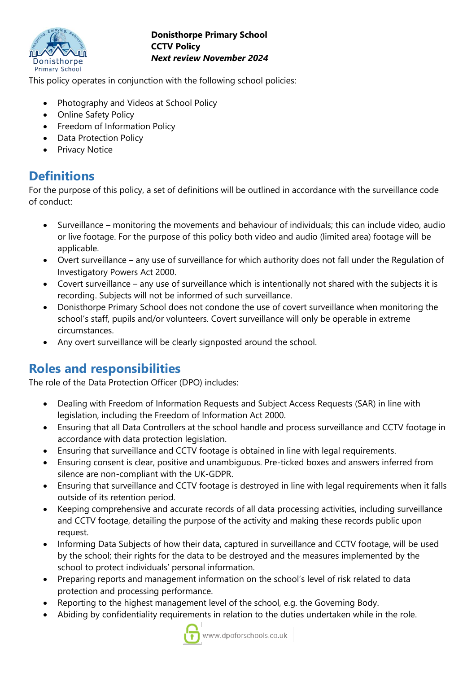

This policy operates in conjunction with the following school policies:

- Photography and Videos at School Policy
- Online Safety Policy
- Freedom of Information Policy
- Data Protection Policy
- **Privacy Notice**

# **Definitions**

For the purpose of this policy, a set of definitions will be outlined in accordance with the surveillance code of conduct:

- Surveillance monitoring the movements and behaviour of individuals; this can include video, audio or live footage. For the purpose of this policy both video and audio (limited area) footage will be applicable.
- Overt surveillance any use of surveillance for which authority does not fall under the Regulation of Investigatory Powers Act 2000.
- Covert surveillance any use of surveillance which is intentionally not shared with the subjects it is recording. Subjects will not be informed of such surveillance.
- Donisthorpe Primary School does not condone the use of covert surveillance when monitoring the school's staff, pupils and/or volunteers. Covert surveillance will only be operable in extreme circumstances.
- Any overt surveillance will be clearly signposted around the school.

# **Roles and responsibilities**

The role of the Data Protection Officer (DPO) includes:

- Dealing with Freedom of Information Requests and Subject Access Requests (SAR) in line with legislation, including the Freedom of Information Act 2000.
- Ensuring that all Data Controllers at the school handle and process surveillance and CCTV footage in accordance with data protection legislation.
- Ensuring that surveillance and CCTV footage is obtained in line with legal requirements.
- Ensuring consent is clear, positive and unambiguous. Pre-ticked boxes and answers inferred from silence are non-compliant with the UK-GDPR.
- Ensuring that surveillance and CCTV footage is destroyed in line with legal requirements when it falls outside of its retention period.
- Keeping comprehensive and accurate records of all data processing activities, including surveillance and CCTV footage, detailing the purpose of the activity and making these records public upon request.
- Informing Data Subjects of how their data, captured in surveillance and CCTV footage, will be used by the school; their rights for the data to be destroyed and the measures implemented by the school to protect individuals' personal information.
- Preparing reports and management information on the school's level of risk related to data protection and processing performance.
- Reporting to the highest management level of the school, e.g. the Governing Body.
- Abiding by confidentiality requirements in relation to the duties undertaken while in the role.

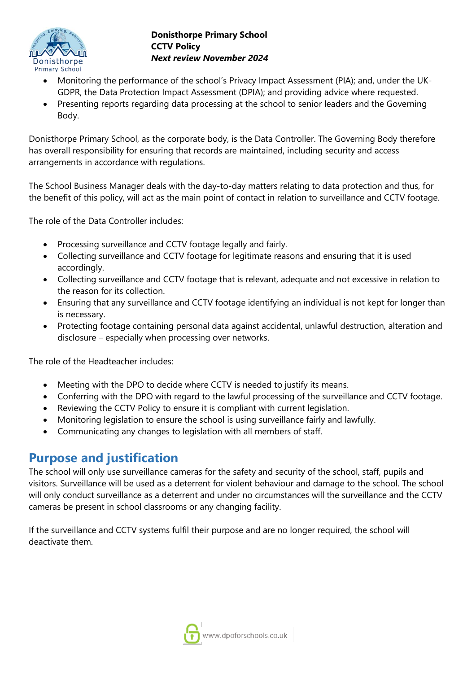

- Monitoring the performance of the school's Privacy Impact Assessment (PIA); and, under the UK-GDPR, the Data Protection Impact Assessment (DPIA); and providing advice where requested.
- Presenting reports regarding data processing at the school to senior leaders and the Governing Body.

Donisthorpe Primary School, as the corporate body, is the Data Controller. The Governing Body therefore has overall responsibility for ensuring that records are maintained, including security and access arrangements in accordance with regulations.

The School Business Manager deals with the day-to-day matters relating to data protection and thus, for the benefit of this policy, will act as the main point of contact in relation to surveillance and CCTV footage.

The role of the Data Controller includes:

- Processing surveillance and CCTV footage legally and fairly.
- Collecting surveillance and CCTV footage for legitimate reasons and ensuring that it is used accordingly.
- Collecting surveillance and CCTV footage that is relevant, adequate and not excessive in relation to the reason for its collection.
- Ensuring that any surveillance and CCTV footage identifying an individual is not kept for longer than is necessary.
- Protecting footage containing personal data against accidental, unlawful destruction, alteration and disclosure – especially when processing over networks.

The role of the Headteacher includes:

- Meeting with the DPO to decide where CCTV is needed to justify its means.
- Conferring with the DPO with regard to the lawful processing of the surveillance and CCTV footage.
- Reviewing the CCTV Policy to ensure it is compliant with current legislation.
- Monitoring legislation to ensure the school is using surveillance fairly and lawfully.
- Communicating any changes to legislation with all members of staff.

# **Purpose and justification**

The school will only use surveillance cameras for the safety and security of the school, staff, pupils and visitors. Surveillance will be used as a deterrent for violent behaviour and damage to the school. The school will only conduct surveillance as a deterrent and under no circumstances will the surveillance and the CCTV cameras be present in school classrooms or any changing facility.

If the surveillance and CCTV systems fulfil their purpose and are no longer required, the school will deactivate them.

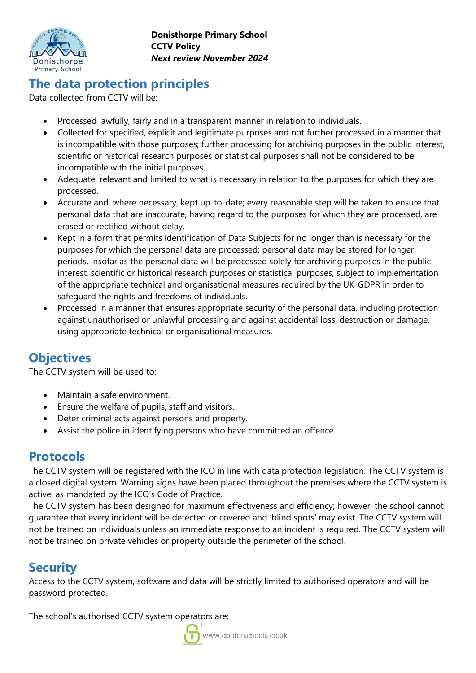

# **The data protection principles**

Data collected from CCTV will be:

- Processed lawfully, fairly and in a transparent manner in relation to individuals.
- Collected for specified, explicit and legitimate purposes and not further processed in a manner that is incompatible with those purposes; further processing for archiving purposes in the public interest, scientific or historical research purposes or statistical purposes shall not be considered to be incompatible with the initial purposes.
- Adequate, relevant and limited to what is necessary in relation to the purposes for which they are processed.
- Accurate and, where necessary, kept up-to-date; every reasonable step will be taken to ensure that personal data that are inaccurate, having regard to the purposes for which they are processed, are erased or rectified without delay.
- Kept in a form that permits identification of Data Subjects for no longer than is necessary for the purposes for which the personal data are processed; personal data may be stored for longer periods, insofar as the personal data will be processed solely for archiving purposes in the public interest, scientific or historical research purposes or statistical purposes, subject to implementation of the appropriate technical and organisational measures required by the UK-GDPR in order to safeguard the rights and freedoms of individuals.
- Processed in a manner that ensures appropriate security of the personal data, including protection against unauthorised or unlawful processing and against accidental loss, destruction or damage, using appropriate technical or organisational measures.

# **Objectives**

The CCTV system will be used to:

- Maintain a safe environment.
- Ensure the welfare of pupils, staff and visitors.
- Deter criminal acts against persons and property.
- Assist the police in identifying persons who have committed an offence.

### **Protocols**

The CCTV system will be registered with the ICO in line with data protection legislation. The CCTV system is a closed digital system. Warning signs have been placed throughout the premises where the CCTV system is active, as mandated by the ICO's Code of Practice.

The CCTV system has been designed for maximum effectiveness and efficiency; however, the school cannot guarantee that every incident will be detected or covered and 'blind spots' may exist. The CCTV system will not be trained on individuals unless an immediate response to an incident is required. The CCTV system will not be trained on private vehicles or property outside the perimeter of the school.

# **Security**

Access to the CCTV system, software and data will be strictly limited to authorised operators and will be password protected.

The school's authorised CCTV system operators are:

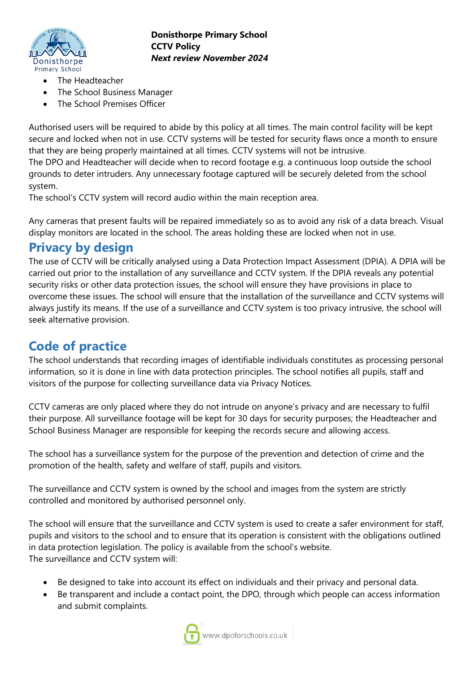

- The Headteacher
- The School Business Manager
- The School Premises Officer

Authorised users will be required to abide by this policy at all times. The main control facility will be kept secure and locked when not in use. CCTV systems will be tested for security flaws once a month to ensure that they are being properly maintained at all times. CCTV systems will not be intrusive. The DPO and Headteacher will decide when to record footage e.g. a continuous loop outside the school grounds to deter intruders. Any unnecessary footage captured will be securely deleted from the school

system.

The school's CCTV system will record audio within the main reception area.

Any cameras that present faults will be repaired immediately so as to avoid any risk of a data breach. Visual display monitors are located in the school. The areas holding these are locked when not in use.

### **Privacy by design**

The use of CCTV will be critically analysed using a Data Protection Impact Assessment (DPIA). A DPIA will be carried out prior to the installation of any surveillance and CCTV system. If the DPIA reveals any potential security risks or other data protection issues, the school will ensure they have provisions in place to overcome these issues. The school will ensure that the installation of the surveillance and CCTV systems will always justify its means. If the use of a surveillance and CCTV system is too privacy intrusive, the school will seek alternative provision.

# **Code of practice**

The school understands that recording images of identifiable individuals constitutes as processing personal information, so it is done in line with data protection principles. The school notifies all pupils, staff and visitors of the purpose for collecting surveillance data via Privacy Notices.

CCTV cameras are only placed where they do not intrude on anyone's privacy and are necessary to fulfil their purpose. All surveillance footage will be kept for 30 days for security purposes; the Headteacher and School Business Manager are responsible for keeping the records secure and allowing access.

The school has a surveillance system for the purpose of the prevention and detection of crime and the promotion of the health, safety and welfare of staff, pupils and visitors.

The surveillance and CCTV system is owned by the school and images from the system are strictly controlled and monitored by authorised personnel only.

The school will ensure that the surveillance and CCTV system is used to create a safer environment for staff, pupils and visitors to the school and to ensure that its operation is consistent with the obligations outlined in data protection legislation. The policy is available from the school's website. The surveillance and CCTV system will:

- Be designed to take into account its effect on individuals and their privacy and personal data.
- Be transparent and include a contact point, the DPO, through which people can access information and submit complaints.

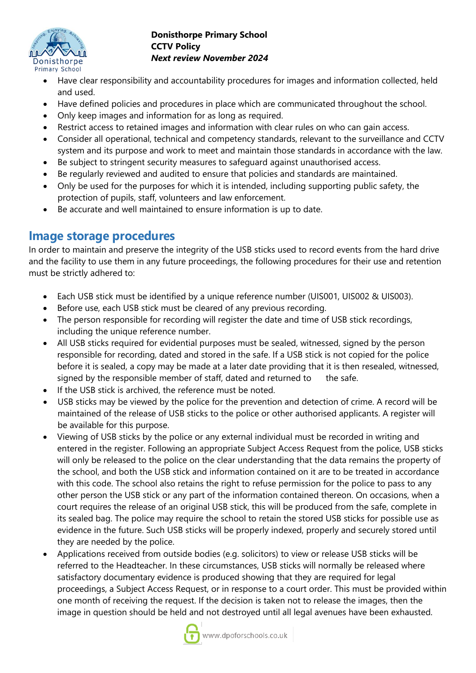

- Have clear responsibility and accountability procedures for images and information collected, held and used.
- Have defined policies and procedures in place which are communicated throughout the school.
- Only keep images and information for as long as required.
- Restrict access to retained images and information with clear rules on who can gain access.
- Consider all operational, technical and competency standards, relevant to the surveillance and CCTV system and its purpose and work to meet and maintain those standards in accordance with the law.
- Be subject to stringent security measures to safeguard against unauthorised access.
- Be regularly reviewed and audited to ensure that policies and standards are maintained.
- Only be used for the purposes for which it is intended, including supporting public safety, the protection of pupils, staff, volunteers and law enforcement.
- Be accurate and well maintained to ensure information is up to date.

### **Image storage procedures**

In order to maintain and preserve the integrity of the USB sticks used to record events from the hard drive and the facility to use them in any future proceedings, the following procedures for their use and retention must be strictly adhered to:

- Each USB stick must be identified by a unique reference number (UIS001, UIS002 & UIS003).
- Before use, each USB stick must be cleared of any previous recording.
- The person responsible for recording will register the date and time of USB stick recordings, including the unique reference number.
- All USB sticks required for evidential purposes must be sealed, witnessed, signed by the person responsible for recording, dated and stored in the safe. If a USB stick is not copied for the police before it is sealed, a copy may be made at a later date providing that it is then resealed, witnessed, signed by the responsible member of staff, dated and returned to the safe.
- If the USB stick is archived, the reference must be noted.
- USB sticks may be viewed by the police for the prevention and detection of crime. A record will be maintained of the release of USB sticks to the police or other authorised applicants. A register will be available for this purpose.
- Viewing of USB sticks by the police or any external individual must be recorded in writing and entered in the register. Following an appropriate Subject Access Request from the police, USB sticks will only be released to the police on the clear understanding that the data remains the property of the school, and both the USB stick and information contained on it are to be treated in accordance with this code. The school also retains the right to refuse permission for the police to pass to any other person the USB stick or any part of the information contained thereon. On occasions, when a court requires the release of an original USB stick, this will be produced from the safe, complete in its sealed bag. The police may require the school to retain the stored USB sticks for possible use as evidence in the future. Such USB sticks will be properly indexed, properly and securely stored until they are needed by the police.
- Applications received from outside bodies (e.g. solicitors) to view or release USB sticks will be referred to the Headteacher. In these circumstances, USB sticks will normally be released where satisfactory documentary evidence is produced showing that they are required for legal proceedings, a Subject Access Request, or in response to a court order. This must be provided within one month of receiving the request. If the decision is taken not to release the images, then the image in question should be held and not destroyed until all legal avenues have been exhausted.

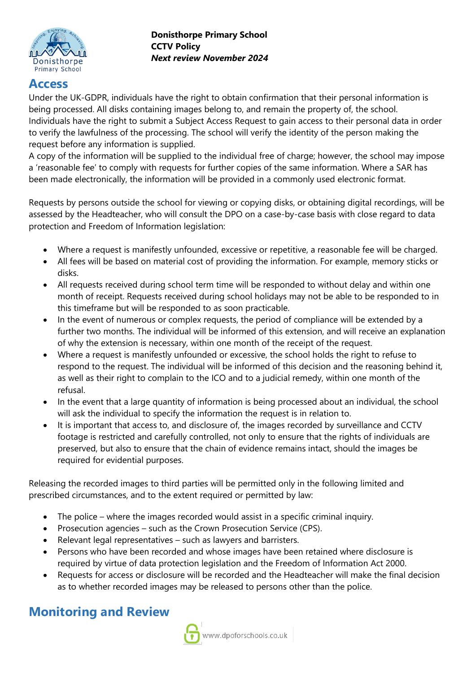

### **Access**

Under the UK-GDPR, individuals have the right to obtain confirmation that their personal information is being processed. All disks containing images belong to, and remain the property of, the school. Individuals have the right to submit a Subject Access Request to gain access to their personal data in order to verify the lawfulness of the processing. The school will verify the identity of the person making the request before any information is supplied.

A copy of the information will be supplied to the individual free of charge; however, the school may impose a 'reasonable fee' to comply with requests for further copies of the same information. Where a SAR has been made electronically, the information will be provided in a commonly used electronic format.

Requests by persons outside the school for viewing or copying disks, or obtaining digital recordings, will be assessed by the Headteacher, who will consult the DPO on a case-by-case basis with close regard to data protection and Freedom of Information legislation:

- Where a request is manifestly unfounded, excessive or repetitive, a reasonable fee will be charged.
- All fees will be based on material cost of providing the information. For example, memory sticks or disks.
- All requests received during school term time will be responded to without delay and within one month of receipt. Requests received during school holidays may not be able to be responded to in this timeframe but will be responded to as soon practicable.
- In the event of numerous or complex requests, the period of compliance will be extended by a further two months. The individual will be informed of this extension, and will receive an explanation of why the extension is necessary, within one month of the receipt of the request.
- Where a request is manifestly unfounded or excessive, the school holds the right to refuse to respond to the request. The individual will be informed of this decision and the reasoning behind it, as well as their right to complain to the ICO and to a judicial remedy, within one month of the refusal.
- In the event that a large quantity of information is being processed about an individual, the school will ask the individual to specify the information the request is in relation to.
- It is important that access to, and disclosure of, the images recorded by surveillance and CCTV footage is restricted and carefully controlled, not only to ensure that the rights of individuals are preserved, but also to ensure that the chain of evidence remains intact, should the images be required for evidential purposes.

Releasing the recorded images to third parties will be permitted only in the following limited and prescribed circumstances, and to the extent required or permitted by law:

- The police where the images recorded would assist in a specific criminal inquiry.
- Prosecution agencies such as the Crown Prosecution Service (CPS).
- Relevant legal representatives such as lawyers and barristers.
- Persons who have been recorded and whose images have been retained where disclosure is required by virtue of data protection legislation and the Freedom of Information Act 2000.
- Requests for access or disclosure will be recorded and the Headteacher will make the final decision as to whether recorded images may be released to persons other than the police.

# **Monitoring and Review**